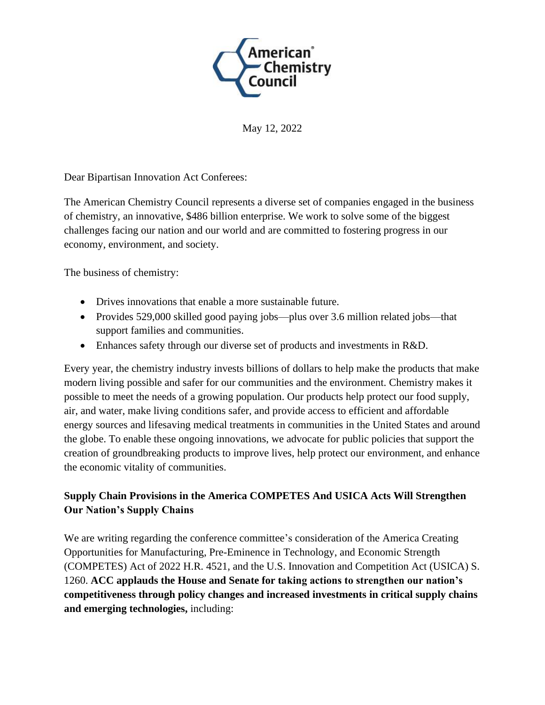

May 12, 2022

Dear Bipartisan Innovation Act Conferees:

The American Chemistry Council represents a diverse set of companies engaged in the business of chemistry, an innovative, \$486 billion enterprise. We work to solve some of the biggest challenges facing our nation and our world and are committed to fostering progress in our economy, environment, and society.

The business of chemistry:

- Drives innovations that enable a more sustainable future.
- Provides 529,000 skilled good paying jobs—plus over 3.6 million related jobs—that support families and communities.
- Enhances safety through our diverse set of products and investments in R&D.

Every year, the chemistry industry invests billions of dollars to help make the products that make modern living possible and safer for our communities and the environment. Chemistry makes it possible to meet the needs of a growing population. Our products help protect our food supply, air, and water, make living conditions safer, and provide access to efficient and affordable energy sources and lifesaving medical treatments in communities in the United States and around the globe. To enable these ongoing innovations, we advocate for public policies that support the creation of groundbreaking products to improve lives, help protect our environment, and enhance the economic vitality of communities.

## **Supply Chain Provisions in the America COMPETES And USICA Acts Will Strengthen Our Nation's Supply Chains**

We are writing regarding the conference committee's consideration of the America Creating Opportunities for Manufacturing, Pre-Eminence in Technology, and Economic Strength (COMPETES) Act of 2022 H.R. 4521, and the U.S. Innovation and Competition Act (USICA) S. 1260. **ACC applauds the House and Senate for taking actions to strengthen our nation's competitiveness through policy changes and increased investments in critical supply chains and emerging technologies,** including: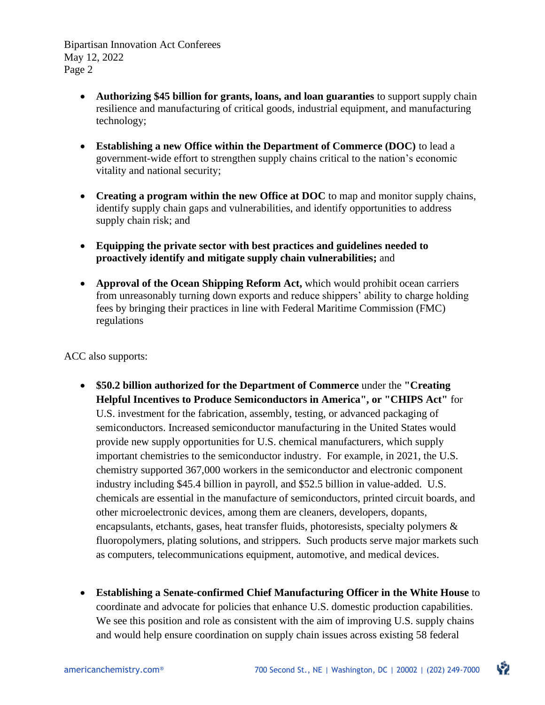- **Authorizing \$45 billion for grants, loans, and loan guaranties** to support supply chain resilience and manufacturing of critical goods, industrial equipment, and manufacturing technology;
- **Establishing a new Office within the Department of Commerce (DOC)** to lead a government-wide effort to strengthen supply chains critical to the nation's economic vitality and national security;
- **Creating a program within the new Office at DOC** to map and monitor supply chains, identify supply chain gaps and vulnerabilities, and identify opportunities to address supply chain risk; and
- **Equipping the private sector with best practices and guidelines needed to proactively identify and mitigate supply chain vulnerabilities;** and
- **Approval of the Ocean Shipping Reform Act,** which would prohibit ocean carriers from unreasonably turning down exports and reduce shippers' ability to charge holding fees by bringing their practices in line with Federal Maritime Commission (FMC) regulations

ACC also supports:

- **\$50.2 billion authorized for the Department of Commerce** under the **"Creating Helpful Incentives to Produce Semiconductors in America", or "CHIPS Act"** for U.S. investment for the fabrication, assembly, testing, or advanced packaging of semiconductors. Increased semiconductor manufacturing in the United States would provide new supply opportunities for U.S. chemical manufacturers, which supply important chemistries to the semiconductor industry. For example, in 2021, the U.S. chemistry supported 367,000 workers in the semiconductor and electronic component industry including \$45.4 billion in payroll, and \$52.5 billion in value-added. U.S. chemicals are essential in the manufacture of semiconductors, printed circuit boards, and other microelectronic devices, among them are cleaners, developers, dopants, encapsulants, etchants, gases, heat transfer fluids, photoresists, specialty polymers & fluoropolymers, plating solutions, and strippers. Such products serve major markets such as computers, telecommunications equipment, automotive, and medical devices.
- **Establishing a Senate-confirmed Chief Manufacturing Officer in the White House** to coordinate and advocate for policies that enhance U.S. domestic production capabilities. We see this position and role as consistent with the aim of improving U.S. supply chains and would help ensure coordination on supply chain issues across existing 58 federal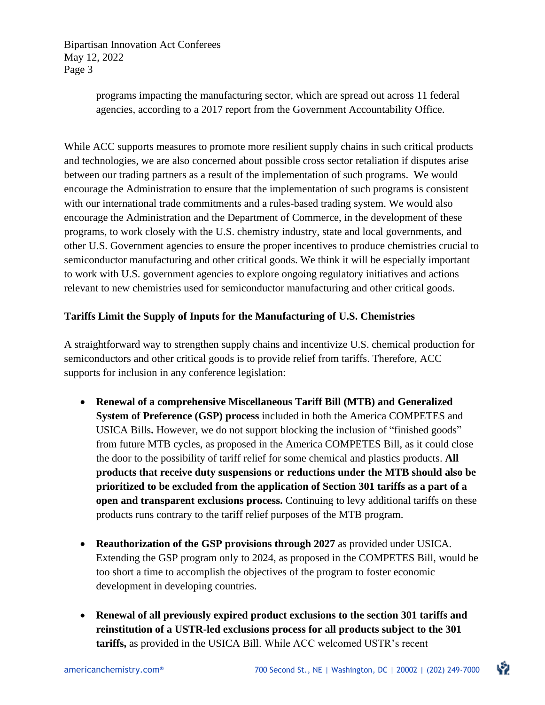> programs impacting the manufacturing sector, which are spread out across 11 federal agencies, according to a 2017 report from the Government Accountability Office.

While ACC supports measures to promote more resilient supply chains in such critical products and technologies, we are also concerned about possible cross sector retaliation if disputes arise between our trading partners as a result of the implementation of such programs. We would encourage the Administration to ensure that the implementation of such programs is consistent with our international trade commitments and a rules-based trading system. We would also encourage the Administration and the Department of Commerce, in the development of these programs, to work closely with the U.S. chemistry industry, state and local governments, and other U.S. Government agencies to ensure the proper incentives to produce chemistries crucial to semiconductor manufacturing and other critical goods. We think it will be especially important to work with U.S. government agencies to explore ongoing regulatory initiatives and actions relevant to new chemistries used for semiconductor manufacturing and other critical goods.

## **Tariffs Limit the Supply of Inputs for the Manufacturing of U.S. Chemistries**

A straightforward way to strengthen supply chains and incentivize U.S. chemical production for semiconductors and other critical goods is to provide relief from tariffs. Therefore, ACC supports for inclusion in any conference legislation:

- **Renewal of a comprehensive Miscellaneous Tariff Bill (MTB) and Generalized System of Preference (GSP) process** included in both the America COMPETES and USICA Bills**.** However, we do not support blocking the inclusion of "finished goods" from future MTB cycles, as proposed in the America COMPETES Bill, as it could close the door to the possibility of tariff relief for some chemical and plastics products. **All products that receive duty suspensions or reductions under the MTB should also be prioritized to be excluded from the application of Section 301 tariffs as a part of a open and transparent exclusions process.** Continuing to levy additional tariffs on these products runs contrary to the tariff relief purposes of the MTB program.
- **Reauthorization of the GSP provisions through 2027** as provided under USICA. Extending the GSP program only to 2024, as proposed in the COMPETES Bill, would be too short a time to accomplish the objectives of the program to foster economic development in developing countries.
- **Renewal of all previously expired product exclusions to the section 301 tariffs and reinstitution of a USTR-led exclusions process for all products subject to the 301 tariffs,** as provided in the USICA Bill. While ACC welcomed USTR's recent

ゆ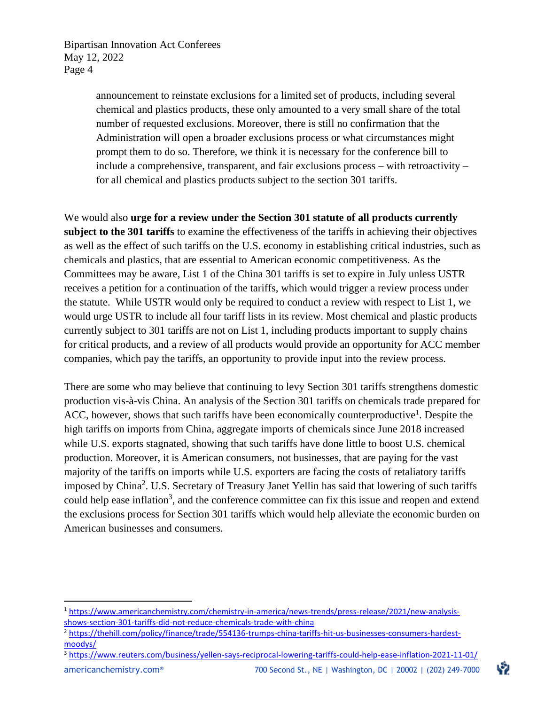> announcement to reinstate exclusions for a limited set of products, including several chemical and plastics products, these only amounted to a very small share of the total number of requested exclusions. Moreover, there is still no confirmation that the Administration will open a broader exclusions process or what circumstances might prompt them to do so. Therefore, we think it is necessary for the conference bill to include a comprehensive, transparent, and fair exclusions process – with retroactivity – for all chemical and plastics products subject to the section 301 tariffs.

We would also **urge for a review under the Section 301 statute of all products currently subject to the 301 tariffs** to examine the effectiveness of the tariffs in achieving their objectives as well as the effect of such tariffs on the U.S. economy in establishing critical industries, such as chemicals and plastics, that are essential to American economic competitiveness. As the Committees may be aware, List 1 of the China 301 tariffs is set to expire in July unless USTR receives a petition for a continuation of the tariffs, which would trigger a review process under the statute. While USTR would only be required to conduct a review with respect to List 1, we would urge USTR to include all four tariff lists in its review. Most chemical and plastic products currently subject to 301 tariffs are not on List 1, including products important to supply chains for critical products, and a review of all products would provide an opportunity for ACC member companies, which pay the tariffs, an opportunity to provide input into the review process.

There are some who may believe that continuing to levy Section 301 tariffs strengthens domestic production vis-à-vis China. An analysis of the Section 301 tariffs on chemicals trade prepared for ACC, however, shows that such tariffs have been economically counterproductive<sup>1</sup>. Despite the high tariffs on imports from China, aggregate imports of chemicals since June 2018 increased while U.S. exports stagnated, showing that such tariffs have done little to boost U.S. chemical production. Moreover, it is American consumers, not businesses, that are paying for the vast majority of the tariffs on imports while U.S. exporters are facing the costs of retaliatory tariffs imposed by China<sup>2</sup>. U.S. Secretary of Treasury Janet Yellin has said that lowering of such tariffs could help ease inflation<sup>3</sup>, and the conference committee can fix this issue and reopen and extend the exclusions process for Section 301 tariffs which would help alleviate the economic burden on American businesses and consumers.

いつ

<sup>&</sup>lt;sup>1</sup> [https://www.americanchemistry.com/chemistry-in-america/news-trends/press-release/2021/new-analysis](https://www.americanchemistry.com/chemistry-in-america/news-trends/press-release/2021/new-analysis-shows-section-301-tariffs-did-not-reduce-chemicals-trade-with-china)[shows-section-301-tariffs-did-not-reduce-chemicals-trade-with-china](https://www.americanchemistry.com/chemistry-in-america/news-trends/press-release/2021/new-analysis-shows-section-301-tariffs-did-not-reduce-chemicals-trade-with-china)

<sup>2</sup> [https://thehill.com/policy/finance/trade/554136-trumps-china-tariffs-hit-us-businesses-consumers-hardest](https://thehill.com/policy/finance/trade/554136-trumps-china-tariffs-hit-us-businesses-consumers-hardest-moodys/)[moodys/](https://thehill.com/policy/finance/trade/554136-trumps-china-tariffs-hit-us-businesses-consumers-hardest-moodys/)

<sup>3</sup> <https://www.reuters.com/business/yellen-says-reciprocal-lowering-tariffs-could-help-ease-inflation-2021-11-01/>